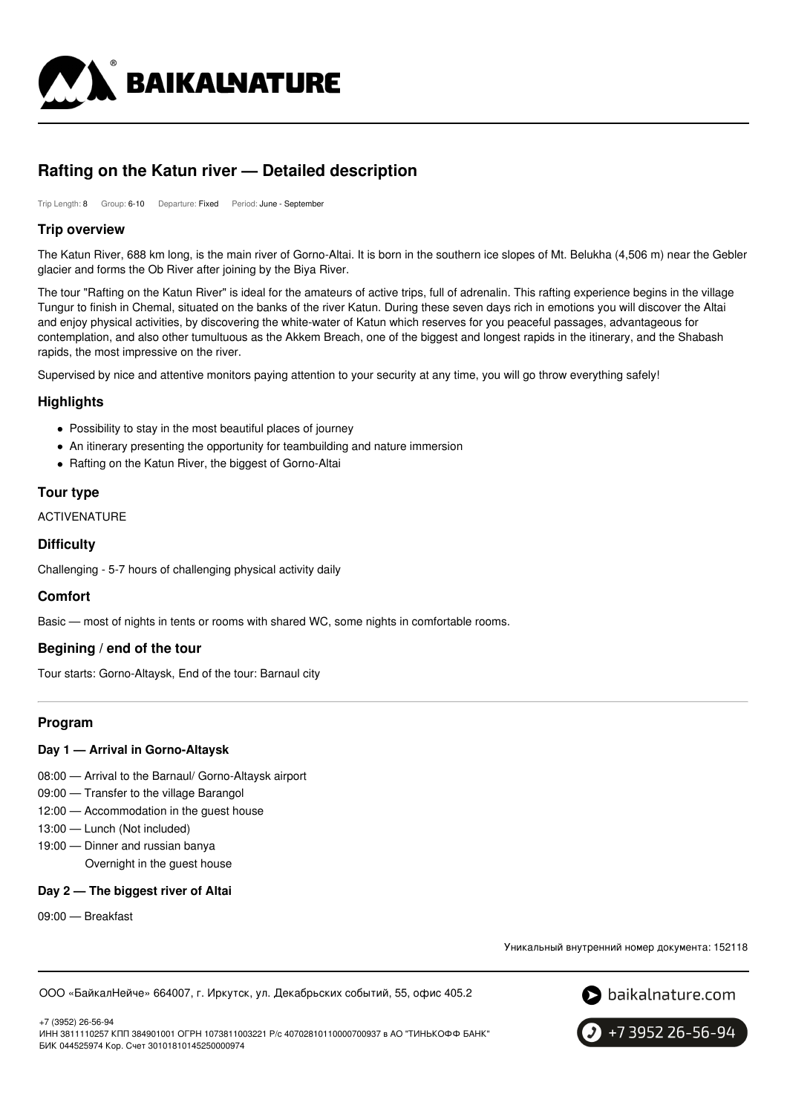

# **Rafting on the Katun river — Detailed description**

Trip Length: 8 Group: 6-10 Departure: Fixed Period: June - September

## **Trip overview**

The Katun River, 688 km long, is the main river of Gorno-Altai. It is born in the southern ice slopes of Mt. Belukha (4,506 m) near the Gebler glacier and forms the Ob River after joining by the Biya River.

The tour "Rafting on the Katun River" is ideal for the amateurs of active trips, full of adrenalin. This rafting experience begins in the village Tungur to finish in Chemal, situated on the banks of the river Katun. During these seven days rich in emotions you will discover the Altai and enjoy physical activities, by discovering the white-water of Katun which reserves for you peaceful passages, advantageous for contemplation, and also other tumultuous as the Akkem Breach, one of the biggest and longest rapids in the itinerary, and the Shabash rapids, the most impressive on the river.

Supervised by nice and attentive monitors paying attention to your security at any time, you will go throw everything safely!

## **Highlights**

- Possibility to stay in the most beautiful places of journey
- An itinerary presenting the opportunity for teambuilding and nature immersion
- Rafting on the Katun River, the biggest of Gorno-Altai

#### **Tour type**

ACTIVENATURE

#### **Difficulty**

Challenging - 5-7 hours of challenging physical activity daily

## **Comfort**

Basic — most of nights in tents or rooms with shared WC, some nights in comfortable rooms.

## **Begining / end of the tour**

Tour starts: Gorno-Altaysk, End of the tour: Barnaul city

## **Program**

#### **Day 1 — Arrival in Gorno-Altaysk**

- 08:00 Arrival to the Barnaul/ Gorno-Altaysk airport
- 09:00 Transfer to the village Barangol
- 12:00 Accommodation in the guest house
- 13:00 Lunch (Not included)
- 19:00 Dinner and russian banya Overnight in the guest house

#### **Day 2 — The biggest river of Altai**

09:00 — Breakfast

+7 (3952) 26-56-94

Уникальный внутренний номер документа: 152118

ООО «БайкалНейче» 664007, г. Иркутск, ул. Декабрьских событий, 55, офис 405.2





ИНН 3811110257 КПП 384901001 ОГРН 1073811003221 Р/с 40702810110000700937 в АО "ТИНЬКОФФ БАНК" БИК 044525974 Кор. Счет 30101810145250000974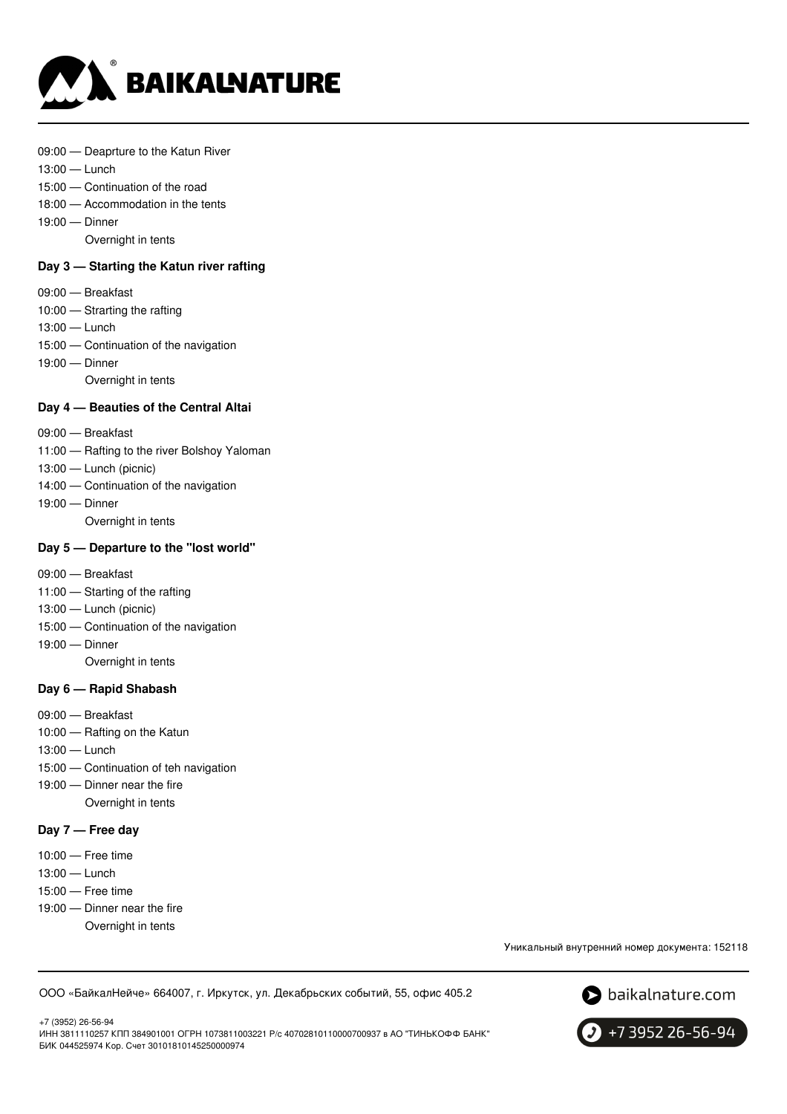

- 09:00 Deaprture to the Katun River
- 13:00 Lunch
- 15:00 Continuation of the road
- 18:00 Accommodation in the tents
- 19:00 Dinner
	- Overnight in tents

## **Day 3 — Starting the Katun river rafting**

- 09:00 Breakfast
- 10:00 Strarting the rafting
- 13:00 Lunch
- 15:00 Continuation of the navigation
- 19:00 Dinner
	- Overnight in tents

#### **Day 4 — Beauties of the Central Altai**

- 09:00 Breakfast
- 11:00 Rafting to the river Bolshoy Yaloman
- 13:00 Lunch (picnic)
- 14:00 Continuation of the navigation
- 19:00 Dinner
	- Overnight in tents

## **Day 5 — Departure to the "lost world"**

- 09:00 Breakfast
- 11:00 Starting of the rafting
- 13:00 Lunch (picnic)
- 15:00 Continuation of the navigation
- 19:00 Dinner

Overnight in tents

#### **Day 6 — Rapid Shabash**

- 09:00 Breakfast
- 10:00 Rafting on the Katun
- 13:00 Lunch
- 15:00 Continuation of teh navigation
- 19:00 Dinner near the fire Overnight in tents

#### **Day 7 — Free day**

- 10:00 Free time
- 13:00 Lunch
- 15:00 Free time
- 19:00 Dinner near the fire
	- Overnight in tents

Уникальный внутренний номер документа: 152118

ООО «БайкалНейче» 664007, г. Иркутск, ул. Декабрьских событий, 55, офис 405.2



+7 (3952) 26-56-94 ИНН 3811110257 КПП 384901001 ОГРН 1073811003221 Р/с 40702810110000700937 в АО "ТИНЬКОФФ БАНК" БИК 044525974 Кор. Счет 30101810145250000974

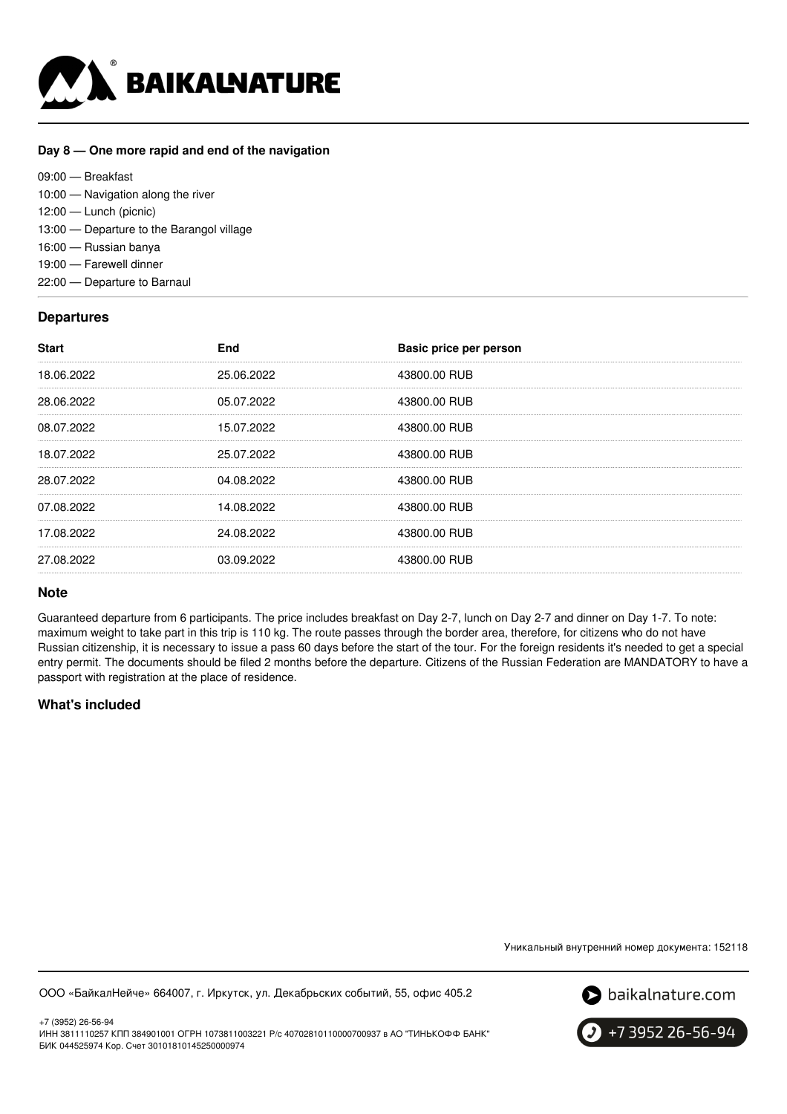

#### **Day 8 — One more rapid and end of the navigation**

09:00 — Breakfast 10:00 — Navigation along the river 12:00 — Lunch (picnic) 13:00 — Departure to the Barangol village 16:00 — Russian banya 19:00 — Farewell dinner 22:00 — Departure to Barnaul

# **Departures**

| 43800.00 RUB<br>25.06.2022<br>18.06.2022 |  |
|------------------------------------------|--|
|                                          |  |
| 05.07.2022<br>43800.00 RUB<br>28.06.2022 |  |
| 15.07.2022<br>43800.00 RUB<br>08.07.2022 |  |
| 25.07.2022<br>18.07.2022<br>43800.00 RUB |  |
| 28.07.2022<br>43800.00 RUB<br>04.08.2022 |  |
| 07.08.2022<br>14.08.2022<br>43800.00 RUB |  |
| 24.08.2022<br>43800.00 RUB<br>17.08.2022 |  |
| 03.09.2022<br>43800.00 RUB<br>27.08.2022 |  |

## **Note**

Guaranteed departure from 6 participants. The price includes breakfast on Day 2-7, lunch on Day 2-7 and dinner on Day 1-7. To note: maximum weight to take part in this trip is 110 kg. The route passes through the border area, therefore, for citizens who do not have Russian citizenship, it is necessary to issue a pass 60 days before the start of the tour. For the foreign residents it's needed to get a special entry permit. The documents should be filed 2 months before the departure. Citizens of the Russian Federation are MANDATORY to have a passport with registration at the place of residence.

# **What's included**

Уникальный внутренний номер документа: 152118

ООО «БайкалНейче» 664007, г. Иркутск, ул. Декабрьских событий, 55, офис 405.2



+7 (3952) 26-56-94 ИНН 3811110257 КПП 384901001 ОГРН 1073811003221 Р/с 40702810110000700937 в АО "ТИНЬКОФФ БАНК" БИК 044525974 Кор. Счет 30101810145250000974

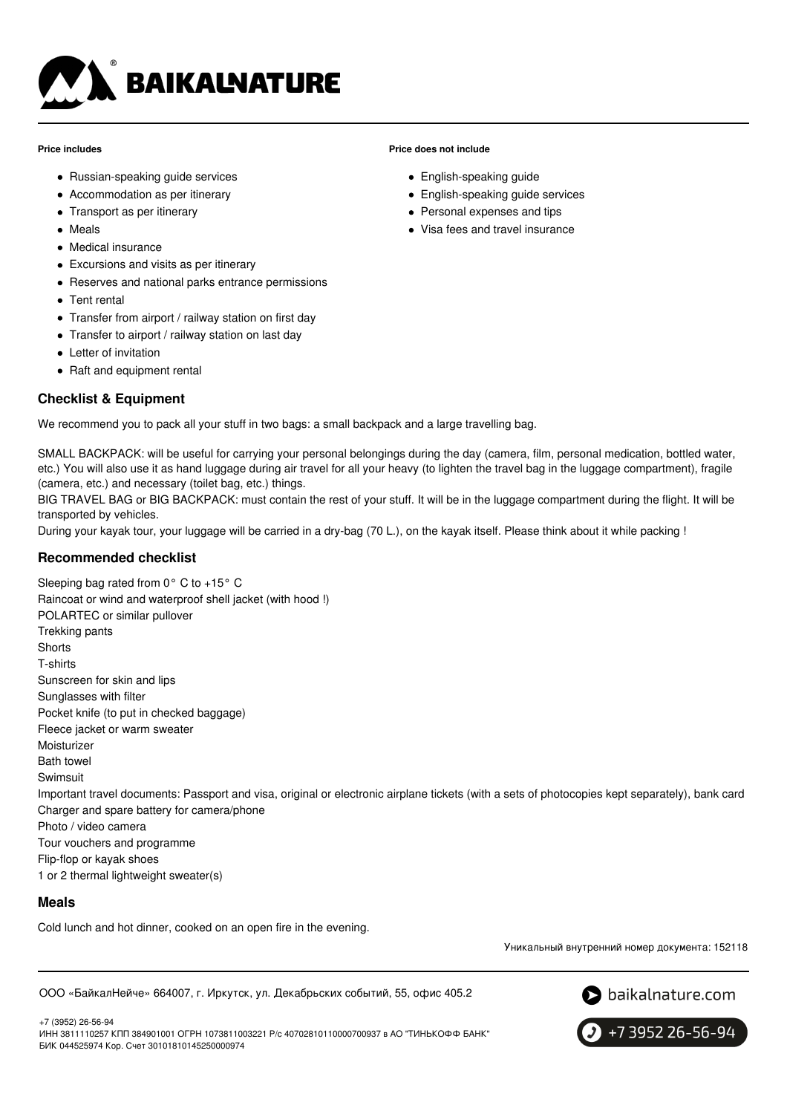

#### **Price includes**

- Russian-speaking guide services
- Accommodation as per itinerary
- Transport as per itinerary
- Meals
- Medical insurance
- Excursions and visits as per itinerary
- Reserves and national parks entrance permissions
- Tent rental
- Transfer from airport / railway station on first day
- Transfer to airport / railway station on last day
- Letter of invitation
- Raft and equipment rental

# **Checklist & Equipment**

We recommend you to pack all your stuff in two bags: a small backpack and a large travelling bag.

SMALL BACKPACK: will be useful for carrying your personal belongings during the day (camera, film, personal medication, bottled water, etc.) You will also use it as hand luggage during air travel for all your heavy (to lighten the travel bag in the luggage compartment), fragile (camera, etc.) and necessary (toilet bag, etc.) things.

BIG TRAVEL BAG or BIG BACKPACK: must contain the rest of your stuff. It will be in the luggage compartment during the flight. It will be transported by vehicles.

During your kayak tour, your luggage will be carried in a dry-bag (70 L.), on the kayak itself. Please think about it while packing !

## **Recommended checklist**

Sleeping bag rated from 0° C to +15° C Raincoat or wind and waterproof shell jacket (with hood !) POLARTEC or similar pullover Trekking pants **Shorts** T-shirts Sunscreen for skin and lips Sunglasses with filter Pocket knife (to put in checked baggage) Fleece jacket or warm sweater **Moisturizer** Bath towel Swimsuit Important travel documents: Passport and visa, original or electronic airplane tickets (with a sets of photocopies kept separately), bank card Charger and spare battery for camera/phone Photo / video camera Tour vouchers and programme Flip-flop or kayak shoes 1 or 2 thermal lightweight sweater(s)

## **Meals**

Cold lunch and hot dinner, cooked on an open fire in the evening.

Уникальный внутренний номер документа: 152118

ООО «БайкалНейче» 664007, г. Иркутск, ул. Декабрьских событий, 55, офис 405.2



+7 3952 26-56-94

+7 (3952) 26-56-94 ИНН 3811110257 КПП 384901001 ОГРН 1073811003221 Р/с 40702810110000700937 в АО "ТИНЬКОФФ БАНК" БИК 044525974 Кор. Счет 30101810145250000974

#### **Price does not include**

- English-speaking guide
- English-speaking guide services
- Personal expenses and tips
- Visa fees and travel insurance